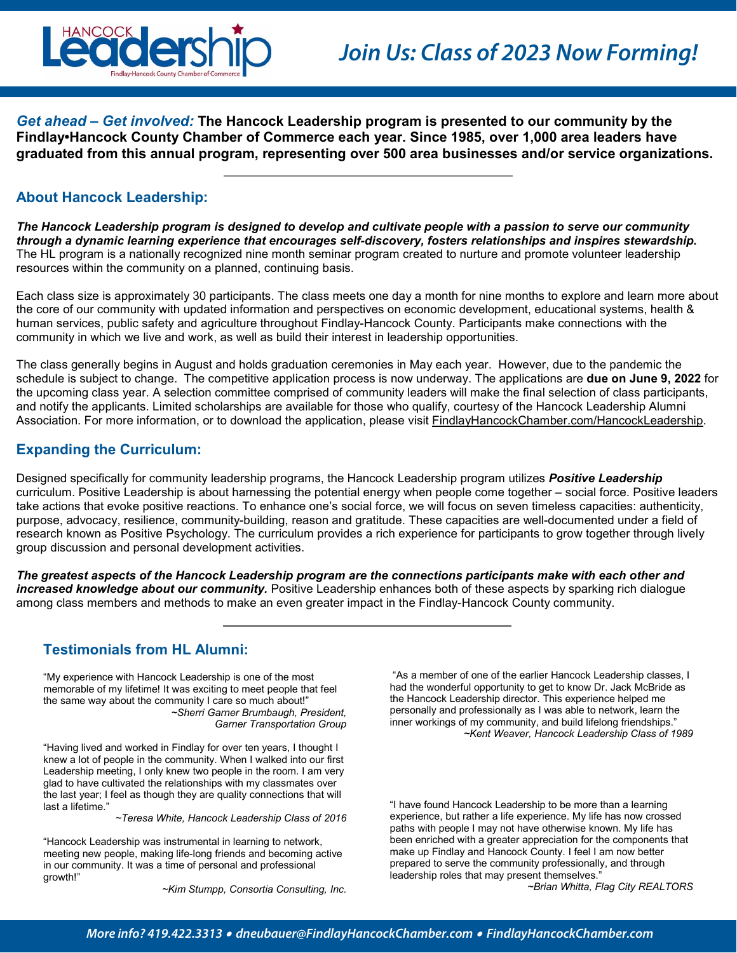

*Get ahead – Get involved:* **The Hancock Leadership program is presented to our community by the Findlay•Hancock County Chamber of Commerce each year. Since 1985, over 1,000 area leaders have graduated from this annual program, representing over 500 area businesses and/or service organizations.** 

# **About Hancock Leadership:**

*The Hancock Leadership program is designed to develop and cultivate people with a passion to serve our community through a dynamic learning experience that encourages self-discovery, fosters relationships and inspires stewardship.* The HL program is a nationally recognized nine month seminar program created to nurture and promote volunteer leadership resources within the community on a planned, continuing basis.

Each class size is approximately 30 participants. The class meets one day a month for nine months to explore and learn more about the core of our community with updated information and perspectives on economic development, educational systems, health & human services, public safety and agriculture throughout Findlay-Hancock County. Participants make connections with the community in which we live and work, as well as build their interest in leadership opportunities.

The class generally begins in August and holds graduation ceremonies in May each year. However, due to the pandemic the schedule is subject to change. The competitive application process is now underway. The applications are **due on June 9, 2022** for the upcoming class year. A selection committee comprised of community leaders will make the final selection of class participants, and notify the applicants. Limited scholarships are available for those who qualify, courtesy of the Hancock Leadership Alumni Association. For more information, or to download the application, please visit FindlayHancockChamber.com/HancockLeadership.

# **Expanding the Curriculum:**

Designed specifically for community leadership programs, the Hancock Leadership program utilizes *Positive Leadership* curriculum. Positive Leadership is about harnessing the potential energy when people come together – social force. Positive leaders take actions that evoke positive reactions. To enhance one's social force, we will focus on seven timeless capacities: authenticity, purpose, advocacy, resilience, community-building, reason and gratitude. These capacities are well-documented under a field of research known as Positive Psychology. The curriculum provides a rich experience for participants to grow together through lively group discussion and personal development activities.

*The greatest aspects of the Hancock Leadership program are the connections participants make with each other and increased knowledge about our community.* Positive Leadership enhances both of these aspects by sparking rich dialogue among class members and methods to make an even greater impact in the Findlay-Hancock County community.

# **Testimonials from HL Alumni:**

"My experience with Hancock Leadership is one of the most memorable of my lifetime! It was exciting to meet people that feel the same way about the community I care so much about!" *~Sherri Garner Brumbaugh, President, Garner Transportation Group*

"Having lived and worked in Findlay for over ten years, I thought I knew a lot of people in the community. When I walked into our first Leadership meeting, I only knew two people in the room. I am very glad to have cultivated the relationships with my classmates over the last year; I feel as though they are quality connections that will last a lifetime."

*~Teresa White, Hancock Leadership Class of 2016*

"Hancock Leadership was instrumental in learning to network, meeting new people, making life-long friends and becoming active in our community. It was a time of personal and professional growth!"

*~Kim Stumpp, Consortia Consulting, Inc.* 

"As a member of one of the earlier Hancock Leadership classes, I had the wonderful opportunity to get to know Dr. Jack McBride as the Hancock Leadership director. This experience helped me personally and professionally as I was able to network, learn the inner workings of my community, and build lifelong friendships." *~Kent Weaver, Hancock Leadership Class of 1989*

"I have found Hancock Leadership to be more than a learning experience, but rather a life experience. My life has now crossed paths with people I may not have otherwise known. My life has been enriched with a greater appreciation for the components that make up Findlay and Hancock County. I feel I am now better prepared to serve the community professionally, and through leadership roles that may present themselves."

*~Brian Whitta, Flag City REALTORS*